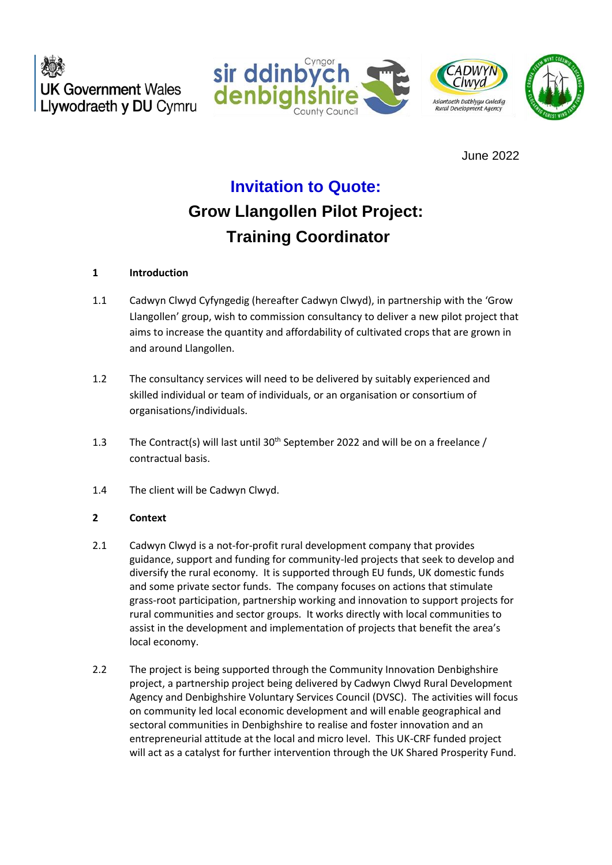**UK Government Wales** Llywodraeth y DU Cymru





June 2022

# **Invitation to Quote:**

# **Grow Llangollen Pilot Project: Training Coordinator**

## **1 Introduction**

- 1.1 Cadwyn Clwyd Cyfyngedig (hereafter Cadwyn Clwyd), in partnership with the 'Grow Llangollen' group, wish to commission consultancy to deliver a new pilot project that aims to increase the quantity and affordability of cultivated crops that are grown in and around Llangollen.
- 1.2 The consultancy services will need to be delivered by suitably experienced and skilled individual or team of individuals, or an organisation or consortium of organisations/individuals.
- 1.3 The Contract(s) will last until  $30<sup>th</sup>$  September 2022 and will be on a freelance / contractual basis.
- 1.4 The client will be Cadwyn Clwyd.

## **2 Context**

- 2.1 Cadwyn Clwyd is a not-for-profit rural development company that provides guidance, support and funding for community-led projects that seek to develop and diversify the rural economy. It is supported through EU funds, UK domestic funds and some private sector funds. The company focuses on actions that stimulate grass-root participation, partnership working and innovation to support projects for rural communities and sector groups. It works directly with local communities to assist in the development and implementation of projects that benefit the area's local economy.
- 2.2 The project is being supported through the Community Innovation Denbighshire project, a partnership project being delivered by Cadwyn Clwyd Rural Development Agency and Denbighshire Voluntary Services Council (DVSC). The activities will focus on community led local economic development and will enable geographical and sectoral communities in Denbighshire to realise and foster innovation and an entrepreneurial attitude at the local and micro level. This UK-CRF funded project will act as a catalyst for further intervention through the UK Shared Prosperity Fund.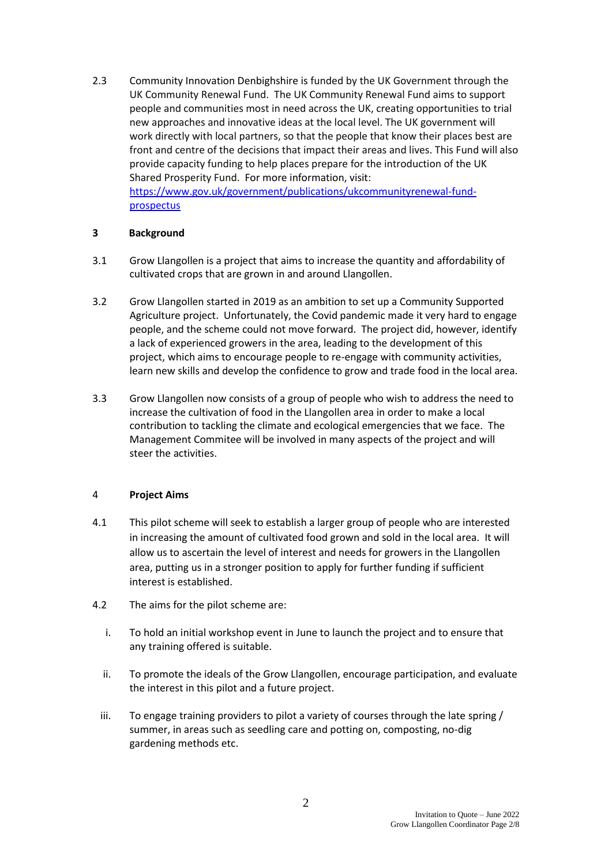2.3 Community Innovation Denbighshire is funded by the UK Government through the UK Community Renewal Fund. The UK Community Renewal Fund aims to support people and communities most in need across the UK, creating opportunities to trial new approaches and innovative ideas at the local level. The UK government will work directly with local partners, so that the people that know their places best are front and centre of the decisions that impact their areas and lives. This Fund will also provide capacity funding to help places prepare for the introduction of the UK Shared Prosperity Fund. For more information, visit: [https://www.gov.uk/government/publications/ukcommunityrenewal-fund-](https://www.gov.uk/government/publications/ukcommunityrenewal-fund-prospectus)

[prospectus](https://www.gov.uk/government/publications/ukcommunityrenewal-fund-prospectus)

## **3 Background**

- 3.1 Grow Llangollen is a project that aims to increase the quantity and affordability of cultivated crops that are grown in and around Llangollen.
- 3.2 Grow Llangollen started in 2019 as an ambition to set up a Community Supported Agriculture project. Unfortunately, the Covid pandemic made it very hard to engage people, and the scheme could not move forward. The project did, however, identify a lack of experienced growers in the area, leading to the development of this project, which aims to encourage people to re-engage with community activities, learn new skills and develop the confidence to grow and trade food in the local area.
- 3.3 Grow Llangollen now consists of a group of people who wish to address the need to increase the cultivation of food in the Llangollen area in order to make a local contribution to tackling the climate and ecological emergencies that we face. The Management Commitee will be involved in many aspects of the project and will steer the activities.

## 4 **Project Aims**

- 4.1 This pilot scheme will seek to establish a larger group of people who are interested in increasing the amount of cultivated food grown and sold in the local area. It will allow us to ascertain the level of interest and needs for growers in the Llangollen area, putting us in a stronger position to apply for further funding if sufficient interest is established.
- 4.2 The aims for the pilot scheme are:
	- i. To hold an initial workshop event in June to launch the project and to ensure that any training offered is suitable.
	- ii. To promote the ideals of the Grow Llangollen, encourage participation, and evaluate the interest in this pilot and a future project.
	- iii. To engage training providers to pilot a variety of courses through the late spring / summer, in areas such as seedling care and potting on, composting, no-dig gardening methods etc.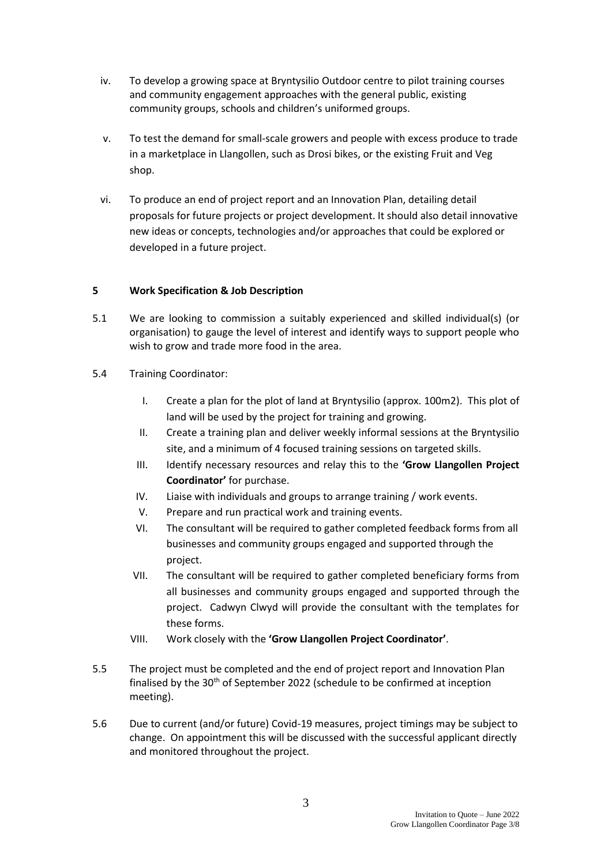- iv. To develop a growing space at Bryntysilio Outdoor centre to pilot training courses and community engagement approaches with the general public, existing community groups, schools and children's uniformed groups.
- v. To test the demand for small-scale growers and people with excess produce to trade in a marketplace in Llangollen, such as Drosi bikes, or the existing Fruit and Veg shop.
- vi. To produce an end of project report and an Innovation Plan, detailing detail proposals for future projects or project development. It should also detail innovative new ideas or concepts, technologies and/or approaches that could be explored or developed in a future project.

## **5 Work Specification & Job Description**

- 5.1 We are looking to commission a suitably experienced and skilled individual(s) (or organisation) to gauge the level of interest and identify ways to support people who wish to grow and trade more food in the area.
- 5.4 Training Coordinator:
	- I. Create a plan for the plot of land at Bryntysilio (approx. 100m2). This plot of land will be used by the project for training and growing.
	- II. Create a training plan and deliver weekly informal sessions at the Bryntysilio site, and a minimum of 4 focused training sessions on targeted skills.
	- III. Identify necessary resources and relay this to the **'Grow Llangollen Project Coordinator'** for purchase.
	- IV. Liaise with individuals and groups to arrange training / work events.
	- V. Prepare and run practical work and training events.
	- VI. The consultant will be required to gather completed feedback forms from all businesses and community groups engaged and supported through the project.
	- VII. The consultant will be required to gather completed beneficiary forms from all businesses and community groups engaged and supported through the project. Cadwyn Clwyd will provide the consultant with the templates for these forms.
	- VIII. Work closely with the **'Grow Llangollen Project Coordinator'**.
- 5.5 The project must be completed and the end of project report and Innovation Plan finalised by the 30<sup>th</sup> of September 2022 (schedule to be confirmed at inception meeting).
- 5.6 Due to current (and/or future) Covid-19 measures, project timings may be subject to change. On appointment this will be discussed with the successful applicant directly and monitored throughout the project.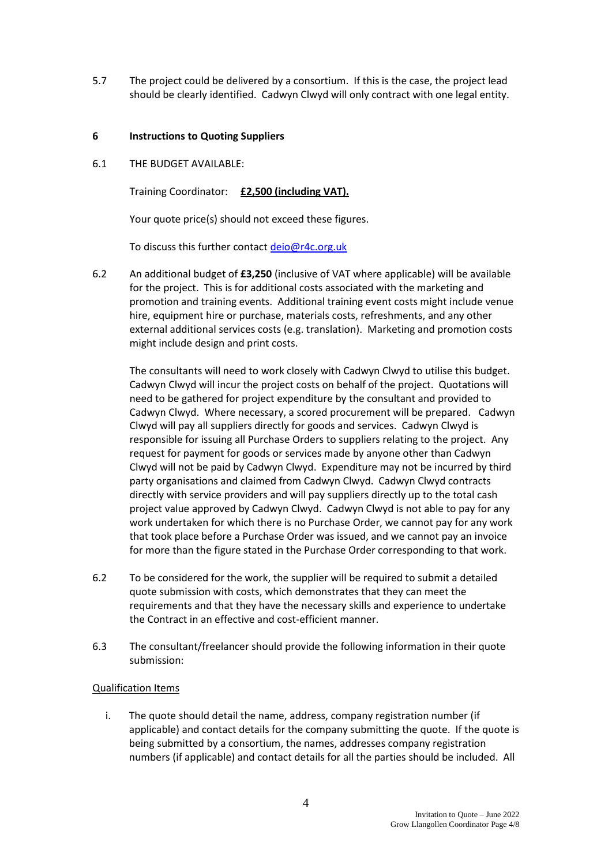5.7 The project could be delivered by a consortium. If this is the case, the project lead should be clearly identified. Cadwyn Clwyd will only contract with one legal entity.

#### **6 Instructions to Quoting Suppliers**

6.1 THE BUDGET AVAILABLE:

Training Coordinator: **£2,500 (including VAT).**

Your quote price(s) should not exceed these figures.

To discuss this further contact [deio@r4c.org.uk](mailto:deio@r4c.org.uk)

6.2 An additional budget of **£3,250** (inclusive of VAT where applicable) will be available for the project. This is for additional costs associated with the marketing and promotion and training events. Additional training event costs might include venue hire, equipment hire or purchase, materials costs, refreshments, and any other external additional services costs (e.g. translation). Marketing and promotion costs might include design and print costs.

The consultants will need to work closely with Cadwyn Clwyd to utilise this budget. Cadwyn Clwyd will incur the project costs on behalf of the project. Quotations will need to be gathered for project expenditure by the consultant and provided to Cadwyn Clwyd. Where necessary, a scored procurement will be prepared. Cadwyn Clwyd will pay all suppliers directly for goods and services. Cadwyn Clwyd is responsible for issuing all Purchase Orders to suppliers relating to the project. Any request for payment for goods or services made by anyone other than Cadwyn Clwyd will not be paid by Cadwyn Clwyd. Expenditure may not be incurred by third party organisations and claimed from Cadwyn Clwyd. Cadwyn Clwyd contracts directly with service providers and will pay suppliers directly up to the total cash project value approved by Cadwyn Clwyd. Cadwyn Clwyd is not able to pay for any work undertaken for which there is no Purchase Order, we cannot pay for any work that took place before a Purchase Order was issued, and we cannot pay an invoice for more than the figure stated in the Purchase Order corresponding to that work.

- 6.2 To be considered for the work, the supplier will be required to submit a detailed quote submission with costs, which demonstrates that they can meet the requirements and that they have the necessary skills and experience to undertake the Contract in an effective and cost-efficient manner.
- 6.3 The consultant/freelancer should provide the following information in their quote submission:

#### Qualification Items

i. The quote should detail the name, address, company registration number (if applicable) and contact details for the company submitting the quote. If the quote is being submitted by a consortium, the names, addresses company registration numbers (if applicable) and contact details for all the parties should be included. All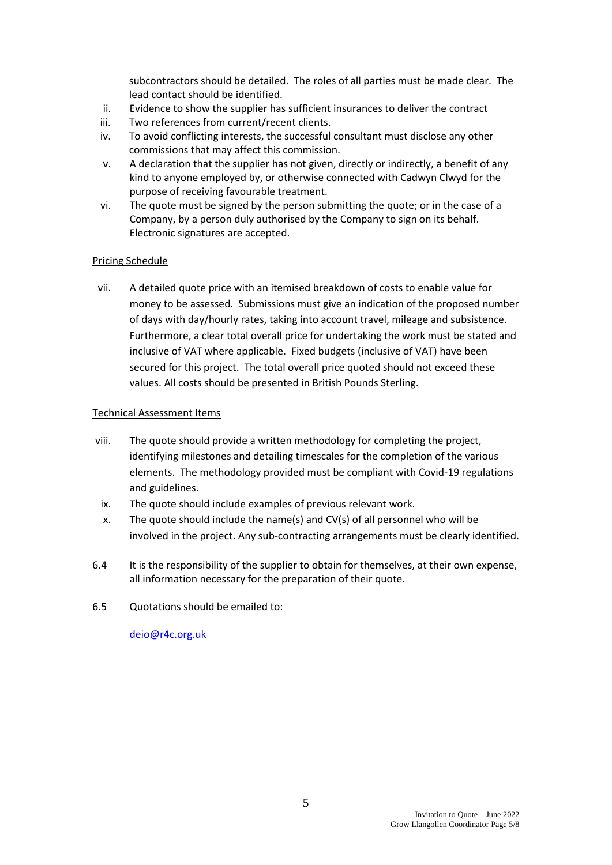subcontractors should be detailed. The roles of all parties must be made clear. The lead contact should be identified.

- ii. Evidence to show the supplier has sufficient insurances to deliver the contract
- iii. Two references from current/recent clients.
- iv. To avoid conflicting interests, the successful consultant must disclose any other commissions that may affect this commission.
- v. A declaration that the supplier has not given, directly or indirectly, a benefit of any kind to anyone employed by, or otherwise connected with Cadwyn Clwyd for the purpose of receiving favourable treatment.
- vi. The quote must be signed by the person submitting the quote; or in the case of a Company, by a person duly authorised by the Company to sign on its behalf. Electronic signatures are accepted.

### Pricing Schedule

vii. A detailed quote price with an itemised breakdown of costs to enable value for money to be assessed. Submissions must give an indication of the proposed number of days with day/hourly rates, taking into account travel, mileage and subsistence. Furthermore, a clear total overall price for undertaking the work must be stated and inclusive of VAT where applicable. Fixed budgets (inclusive of VAT) have been secured for this project. The total overall price quoted should not exceed these values. All costs should be presented in British Pounds Sterling.

### Technical Assessment Items

- viii. The quote should provide a written methodology for completing the project, identifying milestones and detailing timescales for the completion of the various elements. The methodology provided must be compliant with Covid-19 regulations and guidelines.
- ix. The quote should include examples of previous relevant work.
- x. The quote should include the name(s) and CV(s) of all personnel who will be involved in the project. Any sub-contracting arrangements must be clearly identified.
- 6.4 It is the responsibility of the supplier to obtain for themselves, at their own expense, all information necessary for the preparation of their quote.
- 6.5 Quotations should be emailed to:

[deio@r4c.org.uk](mailto:deio@r4c.org.uk)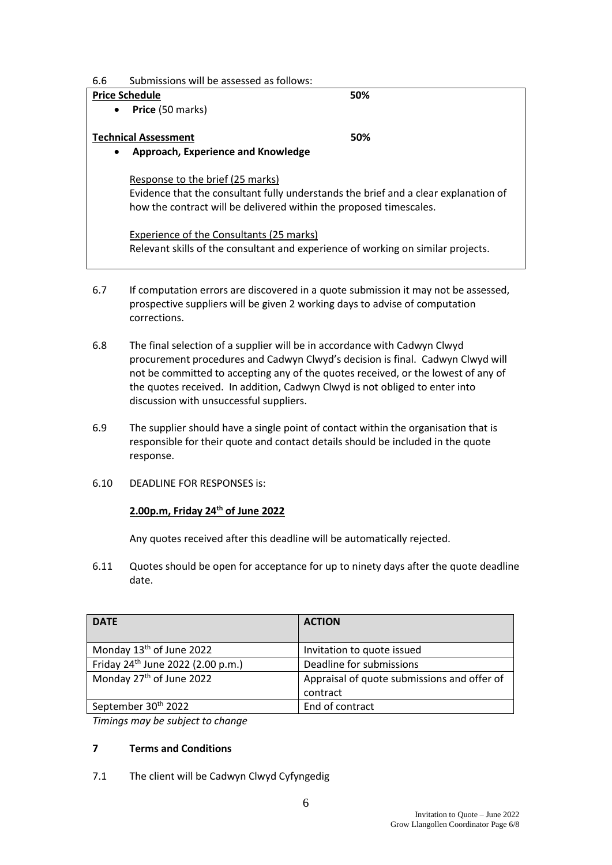| 6.6 | Submissions will be assessed as follows: |  |  |
|-----|------------------------------------------|--|--|
|     |                                          |  |  |

| <b>Price Schedule</b>                           | 50%                                                                                 |  |  |  |  |
|-------------------------------------------------|-------------------------------------------------------------------------------------|--|--|--|--|
| Price (50 marks)<br>$\bullet$                   |                                                                                     |  |  |  |  |
|                                                 |                                                                                     |  |  |  |  |
| <b>Technical Assessment</b>                     | 50%                                                                                 |  |  |  |  |
| Approach, Experience and Knowledge<br>$\bullet$ |                                                                                     |  |  |  |  |
|                                                 |                                                                                     |  |  |  |  |
| Response to the brief (25 marks)                |                                                                                     |  |  |  |  |
|                                                 | Evidence that the consultant fully understands the brief and a clear explanation of |  |  |  |  |
|                                                 | how the contract will be delivered within the proposed timescales.                  |  |  |  |  |
|                                                 |                                                                                     |  |  |  |  |
| Experience of the Consultants (25 marks)        |                                                                                     |  |  |  |  |
|                                                 | Relevant skills of the consultant and experience of working on similar projects.    |  |  |  |  |
|                                                 |                                                                                     |  |  |  |  |

- 6.7 If computation errors are discovered in a quote submission it may not be assessed, prospective suppliers will be given 2 working days to advise of computation corrections.
- 6.8 The final selection of a supplier will be in accordance with Cadwyn Clwyd procurement procedures and Cadwyn Clwyd's decision is final. Cadwyn Clwyd will not be committed to accepting any of the quotes received, or the lowest of any of the quotes received. In addition, Cadwyn Clwyd is not obliged to enter into discussion with unsuccessful suppliers.
- 6.9 The supplier should have a single point of contact within the organisation that is responsible for their quote and contact details should be included in the quote response.
- 6.10 DEADLINE FOR RESPONSES is:

## **2.00p.m, Friday 24th of June 2022**

Any quotes received after this deadline will be automatically rejected.

6.11 Quotes should be open for acceptance for up to ninety days after the quote deadline date.

| <b>DATE</b>                                   | <b>ACTION</b>                                           |
|-----------------------------------------------|---------------------------------------------------------|
| Monday 13 <sup>th</sup> of June 2022          | Invitation to quote issued                              |
| Friday 24 <sup>th</sup> June 2022 (2.00 p.m.) | Deadline for submissions                                |
| Monday 27 <sup>th</sup> of June 2022          | Appraisal of quote submissions and offer of<br>contract |
| September 30 <sup>th</sup> 2022               | End of contract                                         |

*Timings may be subject to change*

## **7 Terms and Conditions**

7.1 The client will be Cadwyn Clwyd Cyfyngedig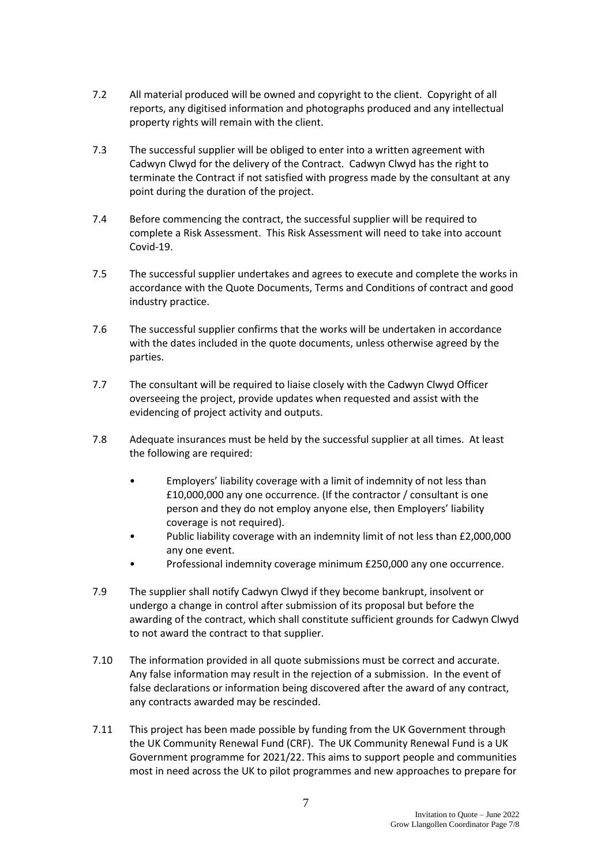- 7.2 All material produced will be owned and copyright to the client. Copyright of all reports, any digitised information and photographs produced and any intellectual property rights will remain with the client.
- 7.3 The successful supplier will be obliged to enter into a written agreement with Cadwyn Clwyd for the delivery of the Contract. Cadwyn Clwyd has the right to terminate the Contract if not satisfied with progress made by the consultant at any point during the duration of the project.
- 7.4 Before commencing the contract, the successful supplier will be required to complete a Risk Assessment. This Risk Assessment will need to take into account Covid-19.
- 7.5 The successful supplier undertakes and agrees to execute and complete the works in accordance with the Quote Documents, Terms and Conditions of contract and good industry practice.
- 7.6 The successful supplier confirms that the works will be undertaken in accordance with the dates included in the quote documents, unless otherwise agreed by the parties.
- 7.7 The consultant will be required to liaise closely with the Cadwyn Clwyd Officer overseeing the project, provide updates when requested and assist with the evidencing of project activity and outputs.
- 7.8 Adequate insurances must be held by the successful supplier at all times. At least the following are required:
	- Employers' liability coverage with a limit of indemnity of not less than £10,000,000 any one occurrence. (If the contractor / consultant is one person and they do not employ anyone else, then Employers' liability coverage is not required).
	- Public liability coverage with an indemnity limit of not less than £2,000,000 any one event.
	- Professional indemnity coverage minimum £250,000 any one occurrence.
- 7.9 The supplier shall notify Cadwyn Clwyd if they become bankrupt, insolvent or undergo a change in control after submission of its proposal but before the awarding of the contract, which shall constitute sufficient grounds for Cadwyn Clwyd to not award the contract to that supplier.
- 7.10 The information provided in all quote submissions must be correct and accurate. Any false information may result in the rejection of a submission. In the event of false declarations or information being discovered after the award of any contract, any contracts awarded may be rescinded.
- 7.11 This project has been made possible by funding from the UK Government through the UK Community Renewal Fund (CRF). The UK Community Renewal Fund is a UK Government programme for 2021/22. This aims to support people and communities most in need across the UK to pilot programmes and new approaches to prepare for